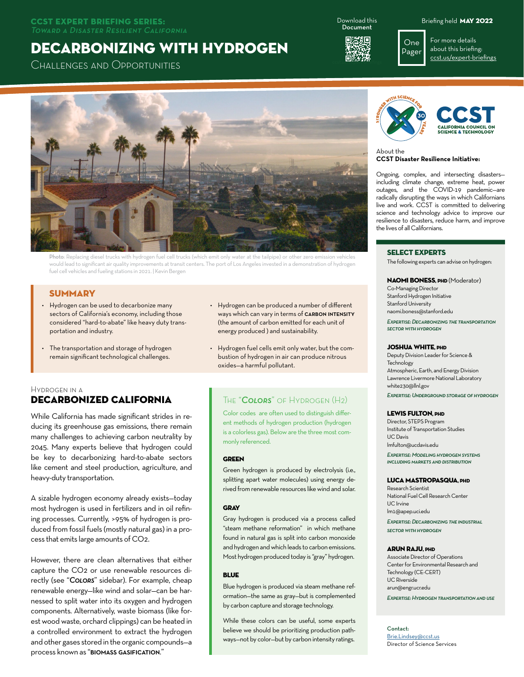#### CCST Expert Briefing Series: Toward a Disaster Resilient California

# Decarbonizing with Hydrogen

Challenges and Opportunities

Download this Document



Briefing held May 2022

For more details about this briefing: [ccst.us](http://www.ccst.us/expert-briefings)/expert-briefings



Photo: Replacing diesel trucks with hydrogen fuel cell trucks (which emit only water at the tailpipe) or other zero emission vehicles would lead to significant air quality improvements at transit centers. The port of Los Angeles invested in a demonstration of hydrogen fuel cell vehicles and fueling stations in 2021. | Kevin Bergen

## **SUMMARY**

- Hydrogen can be used to decarbonize many sectors of California's economy, including those considered "hard-to-abate" like heavy duty transportation and industry.
- The transportation and storage of hydrogen remain significant technological challenges.
- Hydrogen can be produced a number of different ways which can vary in terms of CARBON INTENSITY (the amount of carbon emitted for each unit of energy produced ) and sustainability.
- Hydrogen fuel cells emit only water, but the combustion of hydrogen in air can produce nitrous oxides—a harmful pollutant.

#### Hydrogen in a Decarbonized California

While California has made significant strides in reducing its greenhouse gas emissions, there remain many challenges to achieving carbon neutrality by 2045. Many experts believe that hydrogen could be key to decarbonizing hard-to-abate sectors like cement and steel production, agriculture, and heavy-duty transportation.

A sizable hydrogen economy already exists—today most hydrogen is used in fertilizers and in oil refining processes. Currently, >95% of hydrogen is produced from fossil fuels (mostly natural gas) in a process that emits large amounts of CO2.

However, there are clean alternatives that either capture the CO2 or use renewable resources directly (see "*Colors*" sidebar). For example, cheap renewable energy—like wind and solar—can be harnessed to split water into its oxygen and hydrogen components. Alternatively, waste biomass (like forest wood waste, orchard clippings) can be heated in a controlled environment to extract the hydrogen and other gases stored in the organic compounds—a process known as "biomass gasification."

## The "*Colors*" of Hydrogen (H2)

Color codes are often used to distinguish different methods of hydrogen production (hydrogen is a colorless gas). Below are the three most commonly referenced.

#### **GDEEN**

Green hydrogen is produced by electrolysis (i.e., splitting apart water molecules) using energy derived from renewable resources like wind and solar.

#### **GRAY**

Gray hydrogen is produced via a process called "steam methane reformation" in which methane found in natural gas is split into carbon monoxide and hydrogen and which leads to carbon emissions. Most hydrogen produced today is "gray" hydrogen.

#### **BLUE**

Blue hydrogen is produced via steam methane reformation—the same as gray—but is complemented by carbon capture and storage technology.

While these colors can be useful, some experts believe we should be prioritizing production pathways—not by color—but by carbon intensity ratings.



One Pager

#### About the **CCST Disaster Resilience Initiative:**

Ongoing, complex, and intersecting disasters including climate change, extreme heat, power outages, and the COVID-19 pandemic—are radically disrupting the ways in which Californians live and work. CCST is committed to delivering science and technology advice to improve our resilience to disasters, reduce harm, and improve the lives of all Californians.

#### Select Experts

The following experts can advise on hydrogen:

#### **NAOMI BONESS. PHD (Moderator)**

Co-Managing Director Stanford Hydrogen Initiative Stanford University naomi.boness@stanford.edu

*Expertise: Decarbonizing the transportation sector with hydrogen*

#### JOSHUA WHITE, PHD

Deputy Division Leader for Science & **Technology** Atmospheric, Earth, and Energy Division Lawrence Livermore National Laboratory white230@llnl.gov *Expertise: Underground storage of hydrogen*

#### LEWIS FULTON, PHD

Director, STEPS Program Institute of Transportation Studies UC Davis lmfulton@ucdavis.edu

*Expertise: Modeling hydrogen systems including markets and distribution*

#### LUCA MASTROPASQUA, PHD

Research Scientist National Fuel Cell Research Center UC Irvine lm1@apep.uci.edu *Expertise: Decarbonizing the industrial* 

*sector with hydrogen*

#### Arun Raju, PhD

Associate Director of Operations Center for Environmental Research and Technology (CE-CERT) UC Riverside arun@engr.ucr.edu

*Expertise: Hydrogen transportation and use*

Contact: B[rie.Lindsey@ccst.us](mailto:brie.lindsey%40ccst.us?subject=CCST%20Microgrids%20Briefing) Director of Science Services